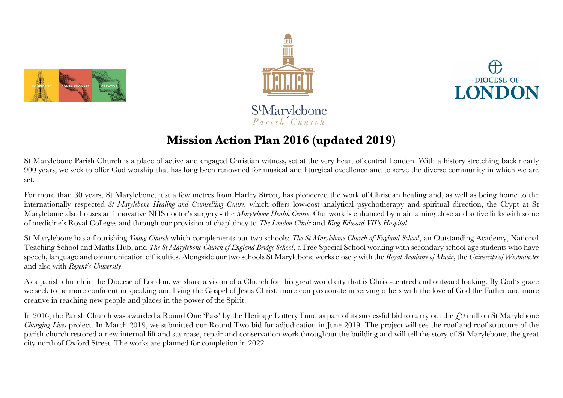





# StMarylebone  $Parish'Church$

# **Mission Action Plan 2016 (updated 2019)**

St Marylebone Parish Church is a place of active and engaged Christian witness, set at the very heart of central London. With a history stretching back nearly 900 years, we seek to offer God worship that has long been renowned for musical and liturgical excellence and to serve the diverse community in which we are set.

For more than 30 years, St Marylebone, just a few metres from Harley Street, has pioneered the work of Christian healing and, as well as being home to the internationally respected *St Marylebone Healing and Counselling Centre*, which offers low-cost analytical psychotherapy and spiritual direction, the Crypt at St Marylebone also houses an innovative NHS doctor's surgery - the *Marylebone Health Centre*. Our work is enhanced by maintaining close and active links with some of medicine's Royal Colleges and through our provision of chaplaincy to *The London Clinic* and *King Edward VII's Hospital*.

St Marylebone has a flourishing *Young Church* which complements our two schools: *The St Marylebone Church of England School*, an Outstanding Academy, National Teaching School and Maths Hub, and *The St Marylebone Church of England Bridge School*, a Free Special School working with secondary school age students who have speech, language and communication difficulties. Alongside our two schools St Marylebone works closely with the *Royal Academy of Music*, the *University of Westminster* and also with *Regent's University*.

As a parish church in the Diocese of London, we share a vision of a Church for this great world city that is Christ-centred and outward looking. By God's grace we seek to be more confident in speaking and living the Gospel of Jesus Christ, more compassionate in serving others with the love of God the Father and more creative in reaching new people and places in the power of the Spirit.

In 2016, the Parish Church was awarded a Round One 'Pass' by the Heritage Lottery Fund as part of its successful bid to carry out the  $\zeta$ 9 million St Marylebone *Changing Lives* project. In March 2019, we submitted our Round Two bid for adjudication in June 2019. The project will see the roof and roof structure of the parish church restored a new internal lift and staircase, repair and conservation work throughout the building and will tell the story of St Marylebone, the great city north of Oxford Street. The works are planned for completion in 2022.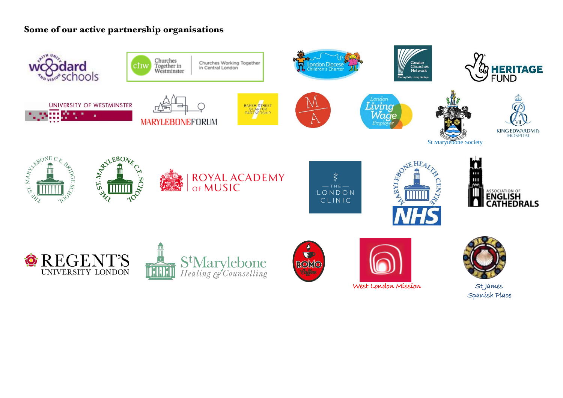## **Some of our active partnership organisations**

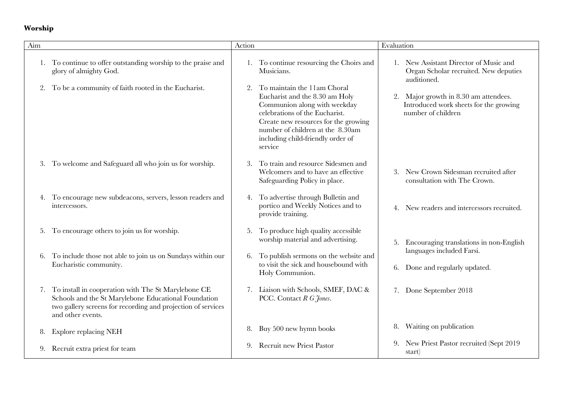## **Worship**

| Aim |                                                                                                                                                                                                  | Action |                                                                                                                                                                                                                                                             | Evaluation |                                                                                                       |
|-----|--------------------------------------------------------------------------------------------------------------------------------------------------------------------------------------------------|--------|-------------------------------------------------------------------------------------------------------------------------------------------------------------------------------------------------------------------------------------------------------------|------------|-------------------------------------------------------------------------------------------------------|
|     | To continue to offer outstanding worship to the praise and<br>glory of almighty God.                                                                                                             |        | 1. To continue resourcing the Choirs and<br>Musicians.                                                                                                                                                                                                      |            | 1. New Assistant Director of Music and<br>Organ Scholar recruited. New deputies<br>auditioned.        |
| 2.  | To be a community of faith rooted in the Eucharist.                                                                                                                                              | 2.     | To maintain the 11am Choral<br>Eucharist and the 8.30 am Holy<br>Communion along with weekday<br>celebrations of the Eucharist.<br>Create new resources for the growing<br>number of children at the 8.30am<br>including child-friendly order of<br>service |            | 2. Major growth in 8.30 am attendees.<br>Introduced work sheets for the growing<br>number of children |
|     | 3. To welcome and Safeguard all who join us for worship.                                                                                                                                         | 3.     | To train and resource Sidesmen and<br>Welcomers and to have an effective<br>Safeguarding Policy in place.                                                                                                                                                   |            | New Crown Sidesman recruited after<br>consultation with The Crown.                                    |
|     | 4. To encourage new subdeacons, servers, lesson readers and<br>intercessors.                                                                                                                     |        | 4. To advertise through Bulletin and<br>portico and Weekly Notices and to<br>provide training.                                                                                                                                                              |            | 4. New readers and intercessors recruited.                                                            |
|     | 5. To encourage others to join us for worship.                                                                                                                                                   | 5.     | To produce high quality accessible<br>worship material and advertising.                                                                                                                                                                                     | 5.         | Encouraging translations in non-English                                                               |
| 6.  | To include those not able to join us on Sundays within our<br>Eucharistic community.                                                                                                             | 6.     | To publish sermons on the website and<br>to visit the sick and housebound with<br>Holy Communion.                                                                                                                                                           | 6.         | languages included Farsi.<br>Done and regularly updated.                                              |
| 7.  | To install in cooperation with The St Marylebone CE<br>Schools and the St Marylebone Educational Foundation<br>two gallery screens for recording and projection of services<br>and other events. |        | 7. Liaison with Schools, SMEF, DAC &<br>PCC. Contact R G Jones.                                                                                                                                                                                             |            | 7. Done September 2018                                                                                |
| 8.  | <b>Explore replacing NEH</b>                                                                                                                                                                     | 8.     | Buy 500 new hymn books                                                                                                                                                                                                                                      | 8.         | Waiting on publication                                                                                |
|     | 9. Recruit extra priest for team                                                                                                                                                                 | 9.     | <b>Recruit new Priest Pastor</b>                                                                                                                                                                                                                            |            | 9. New Priest Pastor recruited (Sept 2019<br>start)                                                   |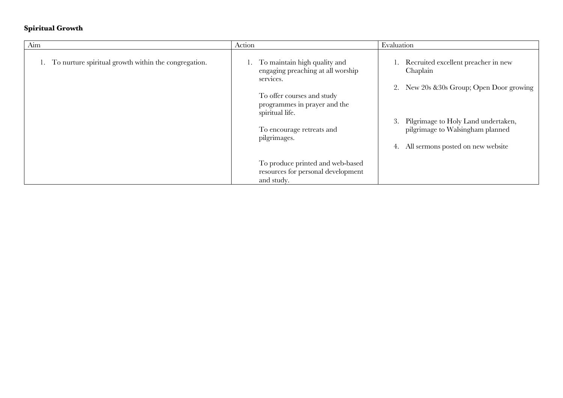#### **Spiritual Growth**

| Aim                                                  | Action                                                                                                                                                                                                       | Evaluation                                                                                                                                                                                                               |
|------------------------------------------------------|--------------------------------------------------------------------------------------------------------------------------------------------------------------------------------------------------------------|--------------------------------------------------------------------------------------------------------------------------------------------------------------------------------------------------------------------------|
| To nurture spiritual growth within the congregation. | To maintain high quality and<br>engaging preaching at all worship<br>services.<br>To offer courses and study<br>programmes in prayer and the<br>spiritual life.<br>To encourage retreats and<br>pilgrimages. | 1. Recruited excellent preacher in new<br>Chaplain<br>2. New 20s & 30s Group; Open Door growing<br>Pilgrimage to Holy Land undertaken,<br>3.<br>pilgrimage to Walsingham planned<br>4. All sermons posted on new website |
|                                                      | To produce printed and web-based<br>resources for personal development<br>and study.                                                                                                                         |                                                                                                                                                                                                                          |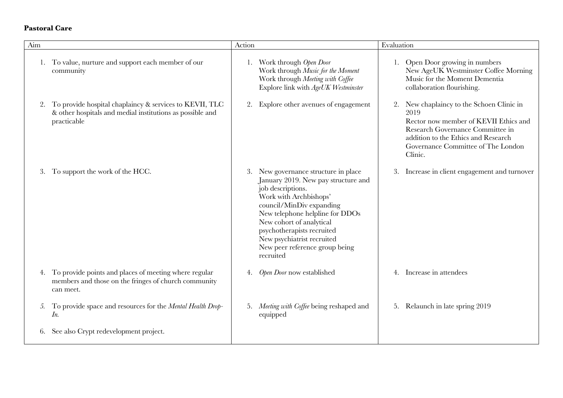#### **Pastoral Care**

| Aim |                                                                                                                                        | Action |                                                                                                                                                                                                                                                                                                                               | Evaluation |                                                                                                                                                                                                                     |
|-----|----------------------------------------------------------------------------------------------------------------------------------------|--------|-------------------------------------------------------------------------------------------------------------------------------------------------------------------------------------------------------------------------------------------------------------------------------------------------------------------------------|------------|---------------------------------------------------------------------------------------------------------------------------------------------------------------------------------------------------------------------|
| 1.  | To value, nurture and support each member of our<br>community                                                                          |        | 1. Work through Open Door<br>Work through Music for the Moment<br>Work through Meeting with Coffee<br>Explore link with AgeUK Westminster                                                                                                                                                                                     |            | 1. Open Door growing in numbers<br>New AgeUK Westminster Coffee Morning<br>Music for the Moment Dementia<br>collaboration flourishing.                                                                              |
|     | 2. To provide hospital chaplaincy & services to KEVII, TLC<br>& other hospitals and medial institutions as possible and<br>practicable | 2.     | Explore other avenues of engagement                                                                                                                                                                                                                                                                                           | 2.         | New chaplaincy to the Schoen Clinic in<br>2019<br>Rector now member of KEVII Ethics and<br>Research Governance Committee in<br>addition to the Ethics and Research<br>Governance Committee of The London<br>Clinic. |
| 3.  | To support the work of the HCC.                                                                                                        | 3.     | New governance structure in place<br>January 2019. New pay structure and<br>job descriptions.<br>Work with Archbishops'<br>council/MinDiv expanding<br>New telephone helpline for DDOs<br>New cohort of analytical<br>psychotherapists recruited<br>New psychiatrist recruited<br>New peer reference group being<br>recruited | 3.         | Increase in client engagement and turnover                                                                                                                                                                          |
|     | 4. To provide points and places of meeting where regular<br>members and those on the fringes of church community<br>can meet.          | 4.     | Open Door now established                                                                                                                                                                                                                                                                                                     |            | Increase in attendees                                                                                                                                                                                               |
| 5.  | To provide space and resources for the Mental Health Drop-<br>In.                                                                      | 5.     | Meeting with Coffee being reshaped and<br>equipped                                                                                                                                                                                                                                                                            |            | 5. Relaunch in late spring 2019                                                                                                                                                                                     |
|     | See also Crypt redevelopment project.                                                                                                  |        |                                                                                                                                                                                                                                                                                                                               |            |                                                                                                                                                                                                                     |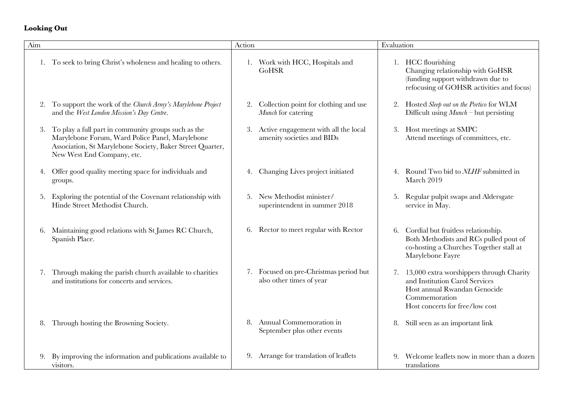# **Looking Out**

| Aim |                                                                                                                                                                                                   | Action                                                                   | Evaluation                                                                                                                                                        |
|-----|---------------------------------------------------------------------------------------------------------------------------------------------------------------------------------------------------|--------------------------------------------------------------------------|-------------------------------------------------------------------------------------------------------------------------------------------------------------------|
|     | 1. To seek to bring Christ's wholeness and healing to others.                                                                                                                                     | 1. Work with HCC, Hospitals and<br>GoHSR                                 | 1. HCC flourishing<br>Changing relationship with GoHSR<br>(funding support withdrawn due to<br>refocusing of GOHSR activities and focus)                          |
| 2.  | To support the work of the Church Army's Marylebone Project<br>and the West London Mission's Day Centre.                                                                                          | Collection point for clothing and use<br>2.<br>Munch for catering        | 2. Hosted Sleep out on the Portico for WLM<br>Difficult using $Munch$ - but persisting                                                                            |
| 3.  | To play a full part in community groups such as the<br>Marylebone Forum, Ward Police Panel, Marylebone<br>Association, St Marylebone Society, Baker Street Quarter,<br>New West End Company, etc. | Active engagement with all the local<br>3.<br>amenity societies and BIDs | 3. Host meetings at SMPC<br>Attend meetings of committees, etc.                                                                                                   |
| 4.  | Offer good quality meeting space for individuals and<br>groups.                                                                                                                                   | Changing Lives project initiated<br>4.                                   | 4. Round Two bid to NLHF submitted in<br>March 2019                                                                                                               |
| 5.  | Exploring the potential of the Covenant relationship with<br>Hinde Street Methodist Church.                                                                                                       | New Methodist minister/<br>5.<br>superintendent in summer 2018           | Regular pulpit swaps and Aldersgate<br>5.<br>service in May.                                                                                                      |
| 6.  | Maintaining good relations with St James RC Church,<br>Spanish Place.                                                                                                                             | 6. Rector to meet regular with Rector                                    | 6. Cordial but fruitless relationship.<br>Both Methodists and RCs pulled pout of<br>co-hosting a Churches Together stall at<br>Marylebone Fayre                   |
| 7.  | Through making the parish church available to charities<br>and institutions for concerts and services.                                                                                            | 7. Focused on pre-Christmas period but<br>also other times of year       | 7. 13,000 extra worshippers through Charity<br>and Institution Carol Services<br>Host annual Rwandan Genocide<br>Commemoration<br>Host concerts for free/low cost |
| 8.  | Through hosting the Browning Society.                                                                                                                                                             | Annual Commemoration in<br>8.<br>September plus other events             | 8. Still seen as an important link                                                                                                                                |
|     | By improving the information and publications available to<br>visitors.                                                                                                                           | 9. Arrange for translation of leaflets                                   | Welcome leaflets now in more than a dozen<br>9.<br>translations                                                                                                   |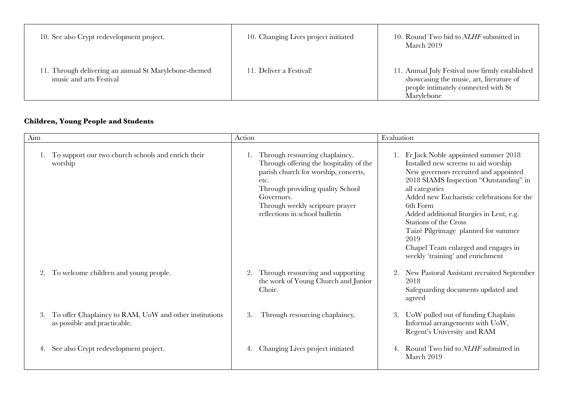| 10. See also Crypt redevelopment project.                                        | 10. Changing Lives project initiated | 10. Round Two bid to <i>NLHF</i> submitted in<br>March 2019                                                                                      |
|----------------------------------------------------------------------------------|--------------------------------------|--------------------------------------------------------------------------------------------------------------------------------------------------|
| 11. Through delivering an annual St Marylebone-themed<br>music and arts Festival | 11. Deliver a Festival!              | 11. Annual July Festival now firmly established<br>showcasing the music, art, literature of<br>people intimately connected with St<br>Marylebone |

# **Children, Young People and Students**

| Aim |                                                                                        | Action                                                                                                                                                                                                                                           | Evaluation                                                                                                                                                                                                                                                                                                                                                                                                                                |
|-----|----------------------------------------------------------------------------------------|--------------------------------------------------------------------------------------------------------------------------------------------------------------------------------------------------------------------------------------------------|-------------------------------------------------------------------------------------------------------------------------------------------------------------------------------------------------------------------------------------------------------------------------------------------------------------------------------------------------------------------------------------------------------------------------------------------|
|     | 1. To support our two church schools and enrich their<br>worship                       | Through resourcing chaplaincy.<br>Through offering the hospitality of the<br>parish church for worship, concerts,<br>etc.<br>Through providing quality School<br>Governors.<br>Through weekly scripture prayer<br>reflections in school bulletin | Fr Jack Noble appointed summer 2018<br>Installed new screens to aid worship<br>New governors recruited and appointed<br>2018 SIAMS Inspection "Outstanding" in<br>all categories<br>Added new Eucharistic celebrations for the<br>6th Form<br>Added additional liturgies in Lent, e.g.<br>Stations of the Cross<br>Taizé Pilgrimage planned for summer<br>2019<br>Chapel Team enlarged and engages in<br>weekly 'training' and enrichment |
|     | To welcome children and young people.                                                  | Through resourcing and supporting<br>2.<br>the work of Young Church and Junior<br>Choir.                                                                                                                                                         | New Pastoral Assistant recruited September<br>2018<br>Safeguarding documents updated and<br>agreed                                                                                                                                                                                                                                                                                                                                        |
| 3.  | To offer Chaplaincy to RAM, UoW and other institutions<br>as possible and practicable. | 3.<br>Through resourcing chaplaincy.                                                                                                                                                                                                             | UoW pulled out of funding Chaplain<br>Informal arrangements with UoW,<br>Regent's University and RAM                                                                                                                                                                                                                                                                                                                                      |
| 4.  | See also Crypt redevelopment project.                                                  | Changing Lives project initiated                                                                                                                                                                                                                 | Round Two bid to <i>NLHF</i> submitted in<br>March 2019                                                                                                                                                                                                                                                                                                                                                                                   |